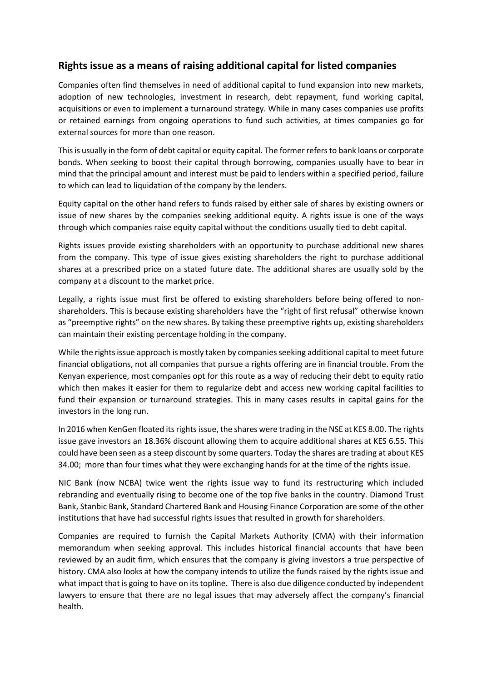## **Rights issue as a means of raising additional capital for listed companies**

Companies often find themselves in need of additional capital to fund expansion into new markets, adoption of new technologies, investment in research, debt repayment, fund working capital, acquisitions or even to implement a turnaround strategy. While in many cases companies use profits or retained earnings from ongoing operations to fund such activities, at times companies go for external sources for more than one reason.

This is usually in the form of debt capital or equity capital. The former refers to bank loans or corporate bonds. When seeking to boost their capital through borrowing, companies usually have to bear in mind that the principal amount and interest must be paid to lenders within a specified period, failure to which can lead to liquidation of the company by the lenders.

Equity capital on the other hand refers to funds raised by either sale of shares by existing owners or issue of new shares by the companies seeking additional equity. A rights issue is one of the ways through which companies raise equity capital without the conditions usually tied to debt capital.

Rights issues provide existing shareholders with an opportunity to purchase additional new shares from the company. This type of issue gives existing shareholders the right to purchase additional shares at a prescribed price on a stated future date. The additional shares are usually sold by the company at a discount to the market price.

Legally, a rights issue must first be offered to existing shareholders before being offered to nonshareholders. This is because existing shareholders have the "right of first refusal" otherwise known as "preemptive rights" on the new shares. By taking these preemptive rights up, existing shareholders can maintain their existing percentage holding in the company.

While the rights issue approach is mostly taken by companies seeking additional capital to meet future financial obligations, not all companies that pursue a rights offering are in financial trouble. From the Kenyan experience, most companies opt for this route as a way of reducing their debt to equity ratio which then makes it easier for them to regularize debt and access new working capital facilities to fund their expansion or turnaround strategies. This in many cases results in capital gains for the investors in the long run.

In 2016 when KenGen floated its rights issue, the shares were trading in the NSE at KES 8.00. The rights issue gave investors an 18.36% discount allowing them to acquire additional shares at KES 6.55. This could have been seen as a steep discount by some quarters. Today the shares are trading at about KES 34.00; more than four times what they were exchanging hands for at the time of the rights issue.

NIC Bank (now NCBA) twice went the rights issue way to fund its restructuring which included rebranding and eventually rising to become one of the top five banks in the country. Diamond Trust Bank, Stanbic Bank, Standard Chartered Bank and Housing Finance Corporation are some of the other institutions that have had successful rights issues that resulted in growth for shareholders.

Companies are required to furnish the Capital Markets Authority (CMA) with their information memorandum when seeking approval. This includes historical financial accounts that have been reviewed by an audit firm, which ensures that the company is giving investors a true perspective of history. CMA also looks at how the company intends to utilize the funds raised by the rights issue and what impact that is going to have on its topline. There is also due diligence conducted by independent lawyers to ensure that there are no legal issues that may adversely affect the company's financial health.